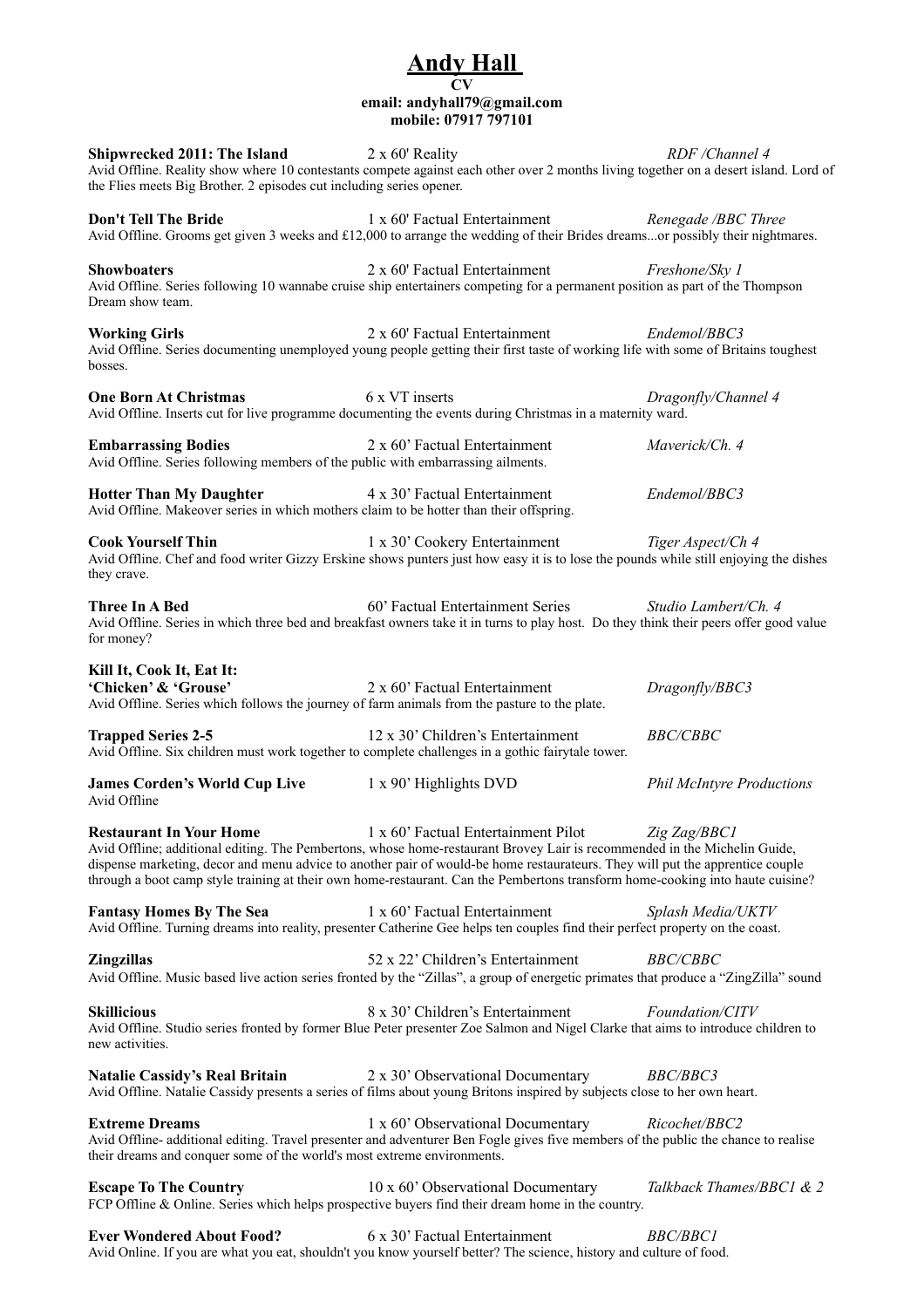## **Andy Hall CV email: andyhall79@gmail.com mobile: 07917 797101**

**Shipwrecked 2011: The Island** 2 x 60' Reality *RDF* **/Channel 4** Avid Offline. Reality show where 10 contestants compete against each other over 2 months living together on a desert island. Lord of the Flies meets Big Brother. 2 episodes cut including series opener. **Don't Tell The Bride 1 x 60' Factual Entertainment** *Renegade /BBC Three* Avid Offline. Grooms get given 3 weeks and £12,000 to arrange the wedding of their Brides dreams...or possibly their nightmares. **Showboaters** 2 x 60' Factual Entertainment *Freshone/Sky 1* Avid Offline. Series following 10 wannabe cruise ship entertainers competing for a permanent position as part of the Thompson Dream show team. **Working Girls 12 x** 60' Factual Entertainment *Endemol/BBC3* Avid Offline. Series documenting unemployed young people getting their first taste of working life with some of Britains toughest bosses. **One Born At Christmas 6 x VT** inserts *Dragonfly/Channel 4* Avid Offline. Inserts cut for live programme documenting the events during Christmas in a maternity ward. **Embarrassing Bodies** 2 x 60' Factual Entertainment *Maverick/Ch. 4* Avid Offline. Series following members of the public with embarrassing ailments. **Hotter Than My Daughter 1** 4 x 30' Factual Entertainment *Endemol/BBC3* Avid Offline. Makeover series in which mothers claim to be hotter than their offspring. **Cook Yourself Thin** 1 x 30' Cookery Entertainment *Tiger Aspect/Ch 4* Avid Offline. Chef and food writer Gizzy Erskine shows punters just how easy it is to lose the pounds while still enjoying the dishes they crave. **Three In A Bed!! ! !** 60' Factual Entertainment Series! ! *Studio Lambert/Ch. 4* Avid Offline. Series in which three bed and breakfast owners take it in turns to play host. Do they think their peers offer good value for money? **Kill It, Cook It, Eat It: 'Chicken' & 'Grouse'!! !** 2 x 60' Factual Entertainment! ! *Dragonfly/BBC3* Avid Offline. Series which follows the journey of farm animals from the pasture to the plate. **Trapped Series 2-5** 12 x 30' Children's Entertainment *BBC/CBBC* Avid Offline. Six children must work together to complete challenges in a gothic fairytale tower. **James Corden's World Cup Live**  $1 \times 90$ ' Highlights DVD *Phil McIntyre Productions* Avid Offline **Restaurant In Your Home! !** 1 x 60' Factual Entertainment Pilot!! *Zig Zag/BBC1* Avid Offline; additional editing. The Pembertons, whose home-restaurant Brovey Lair is recommended in the Michelin Guide, dispense marketing, decor and menu advice to another pair of would-be home restaurateurs. They will put the apprentice couple through a boot camp style training at their own home-restaurant. Can the Pembertons transform home-cooking into haute cuisine? **Fantasy Homes By The Sea! !** 1 x 60' Factual Entertainment! ! *Splash Media/UKTV* Avid Offline. Turning dreams into reality, presenter Catherine Gee helps ten couples find their perfect property on the coast. **Zingzillas!! ! !** 52 x 22' Children's Entertainment! ! *BBC/CBBC* Avid Offline. Music based live action series fronted by the "Zillas", a group of energetic primates that produce a "ZingZilla" sound **Skillicious!! ! !** 8 x 30' Children's Entertainment! ! *Foundation/CITV* Avid Offline. Studio series fronted by former Blue Peter presenter Zoe Salmon and Nigel Clarke that aims to introduce children to new activities. **Natalie Cassidy's Real Britain! !** 2 x 30' Observational Documentary**!!** *BBC/BBC3* Avid Offline. Natalie Cassidy presents a series of films about young Britons inspired by subjects close to her own heart. **Extreme Dreams** 1 x 60' Observational Documentary *Ricochet/BBC2* Avid Offline- additional editing. Travel presenter and adventurer Ben Fogle gives five members of the public the chance to realise their dreams and conquer some of the world's most extreme environments. **Escape To The Country** 10 x 60' Observational Documentary *Talkback Thames/BBC1 & 2* FCP Offline & Online. Series which helps prospective buyers find their dream home in the country. **Ever Wondered About Food?** 6 x 30' Factual Entertainment *BBC/BBC1* 

Avid Online. If you are what you eat, shouldn't you know yourself better? The science, history and culture of food.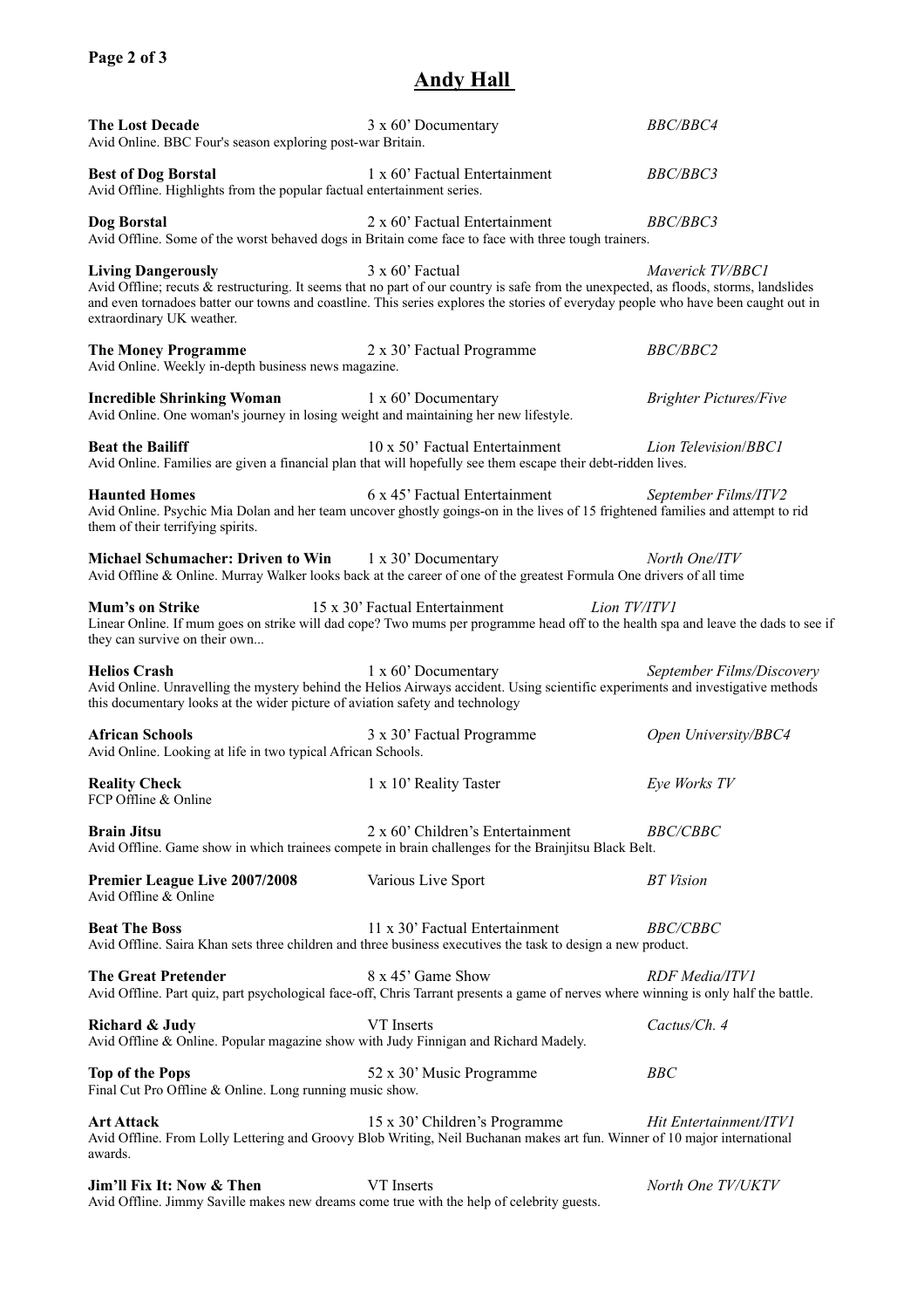## **Andy Hall**

| <b>The Lost Decade</b><br>Avid Online. BBC Four's season exploring post-war Britain.                                                                                                                                                                  | 3 x 60' Documentary                                                                                                                                                                                                                                                                            | <b>BBC/BBC4</b>               |  |
|-------------------------------------------------------------------------------------------------------------------------------------------------------------------------------------------------------------------------------------------------------|------------------------------------------------------------------------------------------------------------------------------------------------------------------------------------------------------------------------------------------------------------------------------------------------|-------------------------------|--|
| <b>Best of Dog Borstal</b><br>Avid Offline. Highlights from the popular factual entertainment series.                                                                                                                                                 | 1 x 60' Factual Entertainment                                                                                                                                                                                                                                                                  | <i>BBC/BBC3</i>               |  |
| Dog Borstal                                                                                                                                                                                                                                           | 2 x 60' Factual Entertainment<br>Avid Offline. Some of the worst behaved dogs in Britain come face to face with three tough trainers.                                                                                                                                                          | <b>BBC/BBC3</b>               |  |
| <b>Living Dangerously</b><br>extraordinary UK weather.                                                                                                                                                                                                | 3 x 60' Factual<br>Avid Offline; recuts & restructuring. It seems that no part of our country is safe from the unexpected, as floods, storms, landslides<br>and even tornadoes batter our towns and coastline. This series explores the stories of everyday people who have been caught out in | Maverick TV/BBC1              |  |
| <b>The Money Programme</b><br>Avid Online. Weekly in-depth business news magazine.                                                                                                                                                                    | 2 x 30' Factual Programme                                                                                                                                                                                                                                                                      | <b>BBC/BBC2</b>               |  |
| <b>Incredible Shrinking Woman</b><br>Avid Online. One woman's journey in losing weight and maintaining her new lifestyle.                                                                                                                             | 1 x 60' Documentary                                                                                                                                                                                                                                                                            | <b>Brighter Pictures/Five</b> |  |
| <b>Beat the Bailiff</b>                                                                                                                                                                                                                               | 10 x 50' Factual Entertainment<br>Avid Online. Families are given a financial plan that will hopefully see them escape their debt-ridden lives.                                                                                                                                                | Lion Television/BBC1          |  |
| 6 x 45' Factual Entertainment<br><b>Haunted Homes</b><br>September Films/ITV2<br>Avid Online. Psychic Mia Dolan and her team uncover ghostly goings-on in the lives of 15 frightened families and attempt to rid<br>them of their terrifying spirits. |                                                                                                                                                                                                                                                                                                |                               |  |
| <b>Michael Schumacher: Driven to Win</b>                                                                                                                                                                                                              | 1 x 30' Documentary<br>Avid Offline & Online. Murray Walker looks back at the career of one of the greatest Formula One drivers of all time                                                                                                                                                    | North One/ITV                 |  |
| <b>Mum's on Strike</b><br>15 x 30' Factual Entertainment<br>Lion TV/ITV1<br>Linear Online. If mum goes on strike will dad cope? Two mums per programme head off to the health spa and leave the dads to see if<br>they can survive on their own       |                                                                                                                                                                                                                                                                                                |                               |  |
| <b>Helios Crash</b><br>this documentary looks at the wider picture of aviation safety and technology                                                                                                                                                  | 1 x 60' Documentary<br>Avid Online. Unravelling the mystery behind the Helios Airways accident. Using scientific experiments and investigative methods                                                                                                                                         | September Films/Discovery     |  |
| <b>African Schools</b><br>Avid Online. Looking at life in two typical African Schools.                                                                                                                                                                | 3 x 30' Factual Programme                                                                                                                                                                                                                                                                      | Open University/BBC4          |  |
| <b>Reality Check</b><br>FCP Offline & Online                                                                                                                                                                                                          | 1 x 10' Reality Taster                                                                                                                                                                                                                                                                         | Eye Works TV                  |  |
| <b>Brain Jitsu</b>                                                                                                                                                                                                                                    | 2 x 60' Children's Entertainment<br>Avid Offline. Game show in which trainees compete in brain challenges for the Brainjitsu Black Belt.                                                                                                                                                       | <i>BBC/CBBC</i>               |  |
| <b>Premier League Live 2007/2008</b><br>Avid Offline & Online                                                                                                                                                                                         | Various Live Sport                                                                                                                                                                                                                                                                             | <b>BT</b> Vision              |  |
| <b>Beat The Boss</b>                                                                                                                                                                                                                                  | 11 x 30' Factual Entertainment<br>Avid Offline. Saira Khan sets three children and three business executives the task to design a new product.                                                                                                                                                 | <b>BBC/CBBC</b>               |  |
| <b>The Great Pretender</b>                                                                                                                                                                                                                            | 8 x 45' Game Show<br>Avid Offline. Part quiz, part psychological face-off, Chris Tarrant presents a game of nerves where winning is only half the battle.                                                                                                                                      | RDF Media/ITV1                |  |
| Richard & Judy<br>Avid Offline & Online. Popular magazine show with Judy Finnigan and Richard Madely.                                                                                                                                                 | VT Inserts                                                                                                                                                                                                                                                                                     | Cactus/Ch. 4                  |  |
| <b>Top of the Pops</b><br>Final Cut Pro Offline & Online. Long running music show.                                                                                                                                                                    | 52 x 30' Music Programme                                                                                                                                                                                                                                                                       | BBC                           |  |
| <b>Art Attack</b><br>awards.                                                                                                                                                                                                                          | 15 x 30' Children's Programme<br>Avid Offline. From Lolly Lettering and Groovy Blob Writing, Neil Buchanan makes art fun. Winner of 10 major international                                                                                                                                     | Hit Entertainment/ITV1        |  |
| Jim'll Fix It: Now & Then<br>Avid Offline. Jimmy Saville makes new dreams come true with the help of celebrity guests.                                                                                                                                | VT Inserts                                                                                                                                                                                                                                                                                     | North One TV/UKTV             |  |